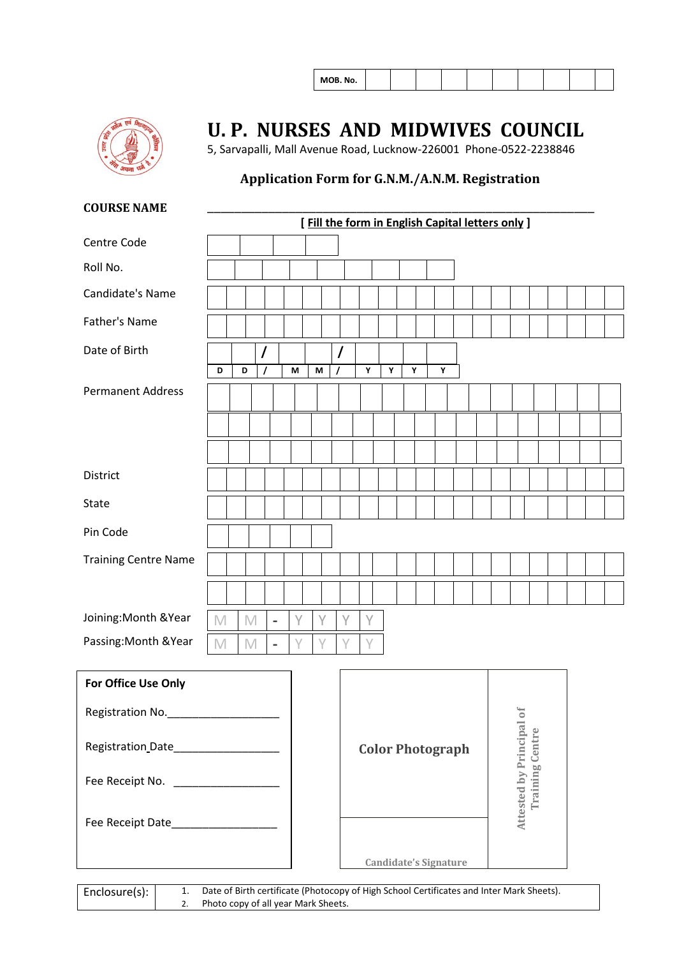|--|



### **U. P. NURSES AND MIDWIVES COUNCIL**

5, Sarvapalli, Mall Avenue Road, Lucknow-226001 Phone-0522-2238846

### **Application Form for G.N.M./A.N.M. Registration**

#### **COURSE NAME**

|                                       |                         |   |          |                          |   |   |   |                                             | [Fill the form in English Capital letters only] |   |  |   |   |  |  |  |  |  |
|---------------------------------------|-------------------------|---|----------|--------------------------|---|---|---|---------------------------------------------|-------------------------------------------------|---|--|---|---|--|--|--|--|--|
| Centre Code                           |                         |   |          |                          |   |   |   |                                             |                                                 |   |  |   |   |  |  |  |  |  |
| Roll No.                              |                         |   |          |                          |   |   |   |                                             |                                                 |   |  |   |   |  |  |  |  |  |
| Candidate's Name                      |                         |   |          |                          |   |   |   |                                             |                                                 |   |  |   |   |  |  |  |  |  |
| Father's Name                         |                         |   |          |                          |   |   |   |                                             |                                                 |   |  |   |   |  |  |  |  |  |
| Date of Birth                         |                         |   |          |                          |   |   |   |                                             |                                                 |   |  |   |   |  |  |  |  |  |
|                                       | D                       | D | $\prime$ |                          | M | M | 7 |                                             | Υ                                               | Υ |  | Υ | Y |  |  |  |  |  |
| <b>Permanent Address</b>              |                         |   |          |                          |   |   |   |                                             |                                                 |   |  |   |   |  |  |  |  |  |
|                                       |                         |   |          |                          |   |   |   |                                             |                                                 |   |  |   |   |  |  |  |  |  |
|                                       |                         |   |          |                          |   |   |   |                                             |                                                 |   |  |   |   |  |  |  |  |  |
| District                              |                         |   |          |                          |   |   |   |                                             |                                                 |   |  |   |   |  |  |  |  |  |
| <b>State</b>                          |                         |   |          |                          |   |   |   |                                             |                                                 |   |  |   |   |  |  |  |  |  |
| Pin Code                              |                         |   |          |                          |   |   |   |                                             |                                                 |   |  |   |   |  |  |  |  |  |
| <b>Training Centre Name</b>           |                         |   |          |                          |   |   |   |                                             |                                                 |   |  |   |   |  |  |  |  |  |
|                                       |                         |   |          |                          |   |   |   |                                             |                                                 |   |  |   |   |  |  |  |  |  |
| Joining: Month & Year                 | M                       | M |          | $\overline{\phantom{a}}$ | Υ | Υ |   | Y                                           | Y                                               |   |  |   |   |  |  |  |  |  |
| Passing: Month & Year                 | $\mathbb M$             | M |          | $\qquad \qquad =$        | γ | Υ |   | Υ                                           | Y                                               |   |  |   |   |  |  |  |  |  |
| For Office Use Only                   |                         |   |          |                          |   |   |   |                                             |                                                 |   |  |   |   |  |  |  |  |  |
| Registration No.                      |                         |   |          |                          |   |   |   |                                             |                                                 |   |  |   |   |  |  |  |  |  |
| Registration Date____________________ | <b>Color Photograph</b> |   |          |                          |   |   |   |                                             |                                                 |   |  |   |   |  |  |  |  |  |
| Fee Receipt No. ____________________  |                         |   |          |                          |   |   |   | Attested by Principal of<br>Training Centre |                                                 |   |  |   |   |  |  |  |  |  |
| Fee Receipt Date____________________  |                         |   |          |                          |   |   |   |                                             |                                                 |   |  |   |   |  |  |  |  |  |

Enclosure(s): 1. Date of Birth certificate (Photocopy of High School Certificates and Inter Mark Sheets).<br>2. Photo copy of all year Mark Sheets. Photo copy of all year Mark Sheets.

 **Candidate's Signature**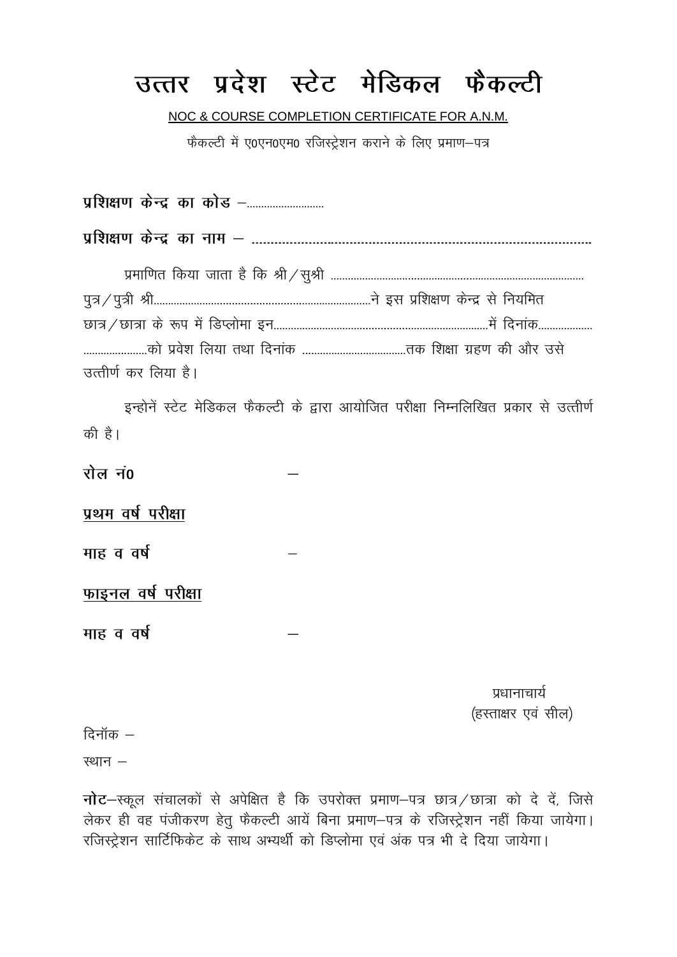## उत्तर प्रदेश स्टेट मेडिकल फैकल्टी

NOC & COURSE COMPLETION CERTIFICATE FOR A.N.M.

फैकल्टी में ए0एन0एम0 रजिस्ट्रेशन कराने के लिए प्रमाण-पत्र

पशिक्षण केन्द्र का कोड़ – उत्तीर्ण कर लिया है। इन्होनें स्टेट मेडिकल फैकल्टी के द्वारा आयोजित परीक्षा निम्नलिखित प्रकार से उत्तीर्ण की है। रोल न0 प्रथम वर्ष परीक्षा माह व वर्ष फाइनल वर्ष परीक्षा माह व वर्ष पधानाचार्य (हरताक्षर एवं सील) दिनॉक $-$ स्थान $-$ 

नोट-स्कूल संचालकों से अपेक्षित है कि उपरोक्त प्रमाण-पत्र छात्र / छात्रा को दे दें, जिसे लेकर ही वह पंजीकरण हेतू फैकल्टी आयें बिना प्रमाण-पत्र के रजिस्ट्रेशन नहीं किया जायेगा। रजिस्ट्रेशन सार्टिफिकेट के साथ अभ्यर्थी को डिप्लोमा एवं अंक पत्र भी दे दिया जायेगा।